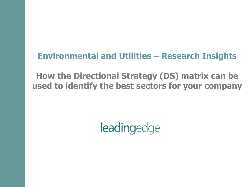## **Environmental and Utilities – Research Insights**

**How the Directional Strategy (DS) matrix can be used to identify the best sectors for your company**

**leadingedge**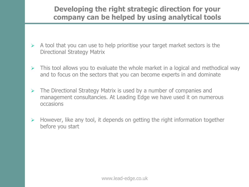#### **Developing the right strategic direction for your company can be helped by using analytical tools**

- $\triangleright$  A tool that you can use to help prioritise your target market sectors is the Directional Strategy Matrix
- $\triangleright$  This tool allows you to evaluate the whole market in a logical and methodical way and to focus on the sectors that you can become experts in and dominate
- $\triangleright$  The Directional Strategy Matrix is used by a number of companies and management consultancies. At Leading Edge we have used it on numerous occasions
- $\triangleright$  However, like any tool, it depends on getting the right information together before you start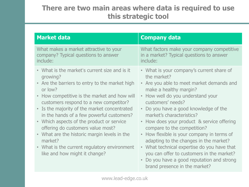#### **There are two main areas where data is required to use this strategic tool**

| <b>Market data</b>                                                                                                                                                                                                                                                                                                                                                                                                                                                                                                                                     | <b>Company data</b>                                                                                                                                                                                                                                                                                                                                                                                                                                                                                                                                                                                           |
|--------------------------------------------------------------------------------------------------------------------------------------------------------------------------------------------------------------------------------------------------------------------------------------------------------------------------------------------------------------------------------------------------------------------------------------------------------------------------------------------------------------------------------------------------------|---------------------------------------------------------------------------------------------------------------------------------------------------------------------------------------------------------------------------------------------------------------------------------------------------------------------------------------------------------------------------------------------------------------------------------------------------------------------------------------------------------------------------------------------------------------------------------------------------------------|
| What makes a market attractive to your<br>company? Typical questions to answer<br>include:                                                                                                                                                                                                                                                                                                                                                                                                                                                             | What factors make your company competitive<br>in a market? Typical questions to answer<br>include:                                                                                                                                                                                                                                                                                                                                                                                                                                                                                                            |
| • What is the market's current size and is it<br>growing?<br>• Are the barriers to entry to the market high<br>or low?<br>How competitive is the market and how will<br>$\bullet$<br>customers respond to a new competitor?<br>• Is the majority of the market concentrated<br>in the hands of a few powerful customers?<br>• Which aspects of the product or service<br>offering do customers value most?<br>• What are the historic margin levels in the<br>market?<br>• What is the current regulatory environment<br>like and how might it change? | • What is your company's current share of<br>the market?<br>• Are you able to meet market demands and<br>make a healthy margin?<br>• How well do you understand your<br>customers' needs?<br>• Do you have a good knowledge of the<br>market's characteristics?<br>• How does your product & service offering<br>compare to the competition?<br>• How flexible is your company in terms of<br>adapting to the changes in the market?<br>• What technical expertise do you have that<br>you can offer to customers in the market?<br>Do you have a good reputation and strong<br>brand presence in the market? |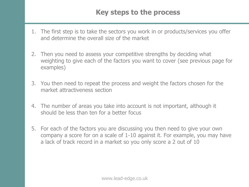### **Key steps to the process**

- 1. The first step is to take the sectors you work in or products/services you offer and determine the overall size of the market
- 2. Then you need to assess your competitive strengths by deciding what weighting to give each of the factors you want to cover (see previous page for examples)
- 3. You then need to repeat the process and weight the factors chosen for the market attractiveness section
- 4. The number of areas you take into account is not important, although it should be less than ten for a better focus
- 5. For each of the factors you are discussing you then need to give your own company a score for on a scale of 1-10 against it. For example, you may have a lack of track record in a market so you only score a 2 out of 10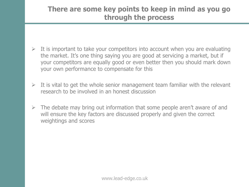#### **There are some key points to keep in mind as you go through the process**

- $\triangleright$  It is important to take your competitors into account when you are evaluating the market. It's one thing saying you are good at servicing a market, but if your competitors are equally good or even better then you should mark down your own performance to compensate for this
- $\triangleright$  It is vital to get the whole senior management team familiar with the relevant research to be involved in an honest discussion
- $\triangleright$  The debate may bring out information that some people aren't aware of and will ensure the key factors are discussed properly and given the correct weightings and scores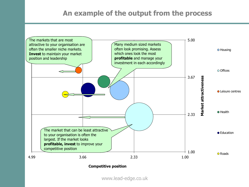#### **An example of the output from the process**



www.lead-edge.co.uk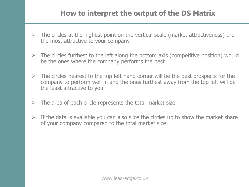#### **How to interpret the output of the DS Matrix**

- $\triangleright$  The circles at the highest point on the vertical scale (market attractiveness) are the most attractive to your company
- $\triangleright$  The circles furthest to the left along the bottom axis (competitive position) would be the ones where the company performs the best
- $\triangleright$  The circles nearest to the top left hand corner will be the best prospects for the company to perform well in and the ones furthest away from the top left will be the least attractive to you
- $\triangleright$  The area of each circle represents the total market size
- $\triangleright$  If the data is available you can also slice the circles up to show the market share of your company compared to the total market size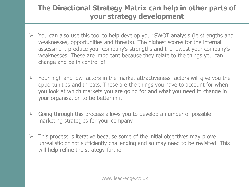### **The Directional Strategy Matrix can help in other parts of your strategy development**

- $\triangleright$  You can also use this tool to help develop your SWOT analysis (ie strengths and weaknesses, opportunities and threats). The highest scores for the internal assessment produce your company's strengths and the lowest your company's weaknesses. These are important because they relate to the things you can change and be in control of
- $\triangleright$  Your high and low factors in the market attractiveness factors will give you the opportunities and threats. These are the things you have to account for when you look at which markets you are going for and what you need to change in your organisation to be better in it
- $\triangleright$  Going through this process allows you to develop a number of possible marketing strategies for your company
- $\triangleright$  This process is iterative because some of the initial objectives may prove unrealistic or not sufficiently challenging and so may need to be revisited. This will help refine the strategy further